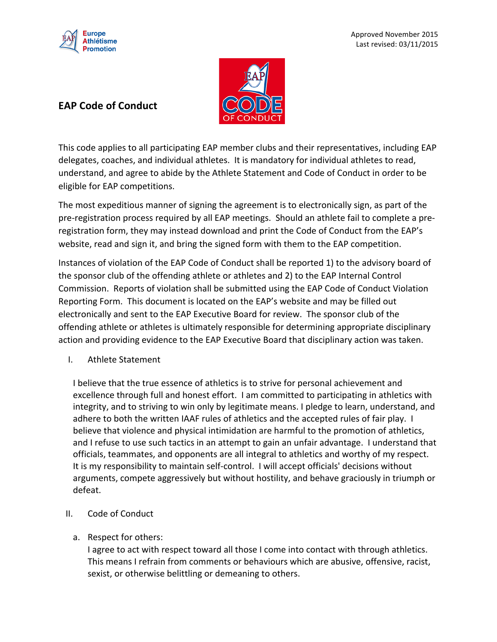

## **EAP Code of Conduct**



This code applies to all participating EAP member clubs and their representatives, including EAP delegates, coaches, and individual athletes. It is mandatory for individual athletes to read, understand, and agree to abide by the Athlete Statement and Code of Conduct in order to be eligible for EAP competitions.

The most expeditious manner of signing the agreement is to electronically sign, as part of the pre-registration process required by all EAP meetings. Should an athlete fail to complete a preregistration form, they may instead download and print the Code of Conduct from the EAP's website, read and sign it, and bring the signed form with them to the EAP competition.

Instances of violation of the EAP Code of Conduct shall be reported 1) to the advisory board of the sponsor club of the offending athlete or athletes and 2) to the EAP Internal Control Commission. Reports of violation shall be submitted using the EAP Code of Conduct Violation Reporting Form. This document is located on the EAP's website and may be filled out electronically and sent to the EAP Executive Board for review. The sponsor club of the offending athlete or athletes is ultimately responsible for determining appropriate disciplinary action and providing evidence to the EAP Executive Board that disciplinary action was taken.

I. Athlete Statement

I believe that the true essence of athletics is to strive for personal achievement and excellence through full and honest effort. I am committed to participating in athletics with integrity, and to striving to win only by legitimate means. I pledge to learn, understand, and adhere to both the written IAAF rules of athletics and the accepted rules of fair play. I believe that violence and physical intimidation are harmful to the promotion of athletics, and I refuse to use such tactics in an attempt to gain an unfair advantage. I understand that officials, teammates, and opponents are all integral to athletics and worthy of my respect. It is my responsibility to maintain self-control. I will accept officials' decisions without arguments, compete aggressively but without hostility, and behave graciously in triumph or defeat.

- II. Code of Conduct
	- a. Respect for others:

I agree to act with respect toward all those I come into contact with through athletics. This means I refrain from comments or behaviours which are abusive, offensive, racist, sexist, or otherwise belittling or demeaning to others.